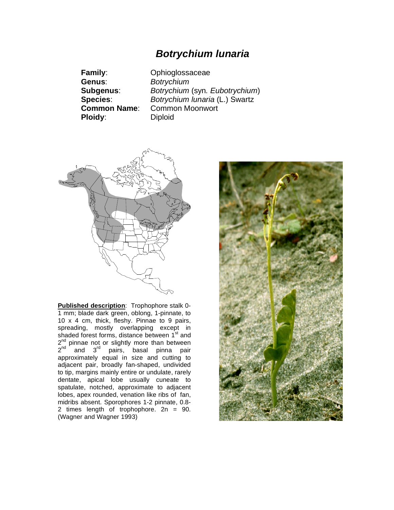## *Botrychium lunaria*

**Genus**: *Botrychium* **Ploidy:** Diploid

**Family**: Ophioglossaceae **Subgenus**: *Botrychium* (syn*. Eubotrychium*) **Species**: *Botrychium lunaria* (L.) Swartz **Common Name**: Common Moonwort



**Published description**: Trophophore stalk 0- 1 mm; blade dark green, oblong, 1-pinnate, to 10 x 4 cm, thick, fleshy. Pinnae to 9 pairs, spreading, mostly overlapping except in shaded forest forms, distance between 1<sup>st</sup> and 2<sup>nd</sup> pinnae not or slightly more than between 2<sup>nd</sup> and 3<sup>rd</sup> pairs, basal pinna pair  $2<sup>nd</sup>$  and  $3<sup>rd</sup>$  pairs, basal pinna pair<br>approximately equal in size and cutting to adjacent pair, broadly fan-shaped, undivided to tip, margins mainly entire or undulate, rarely dentate, apical lobe usually cuneate to spatulate, notched, approximate to adjacent lobes, apex rounded, venation like ribs of fan, midribs absent. Sporophores 1-2 pinnate, 0.8- 2 times length of trophophore. 2n = 90. (Wagner and Wagner 1993)

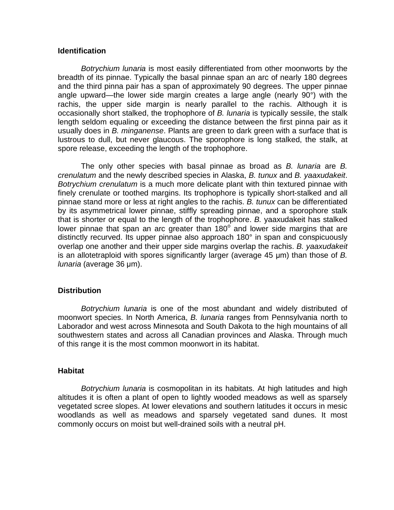### **Identification**

*Botrychium lunaria* is most easily differentiated from other moonworts by the breadth of its pinnae. Typically the basal pinnae span an arc of nearly 180 degrees and the third pinna pair has a span of approximately 90 degrees. The upper pinnae angle upward—the lower side margin creates a large angle (nearly 90°) with the rachis, the upper side margin is nearly parallel to the rachis. Although it is occasionally short stalked, the trophophore of *B. lunaria* is typically sessile, the stalk length seldom equaling or exceeding the distance between the first pinna pair as it usually does in *B. minganense*. Plants are green to dark green with a surface that is lustrous to dull, but never glaucous. The sporophore is long stalked, the stalk, at spore release, exceeding the length of the trophophore.

The only other species with basal pinnae as broad as *B. lunaria* are *B. crenulatum* and the newly described species in Alaska, *B. tunux* and *B. yaaxudakeit*. *Botrychium crenulatum* is a much more delicate plant with thin textured pinnae with finely crenulate or toothed margins. Its trophophore is typically short-stalked and all pinnae stand more or less at right angles to the rachis. *B. tunux* can be differentiated by its asymmetrical lower pinnae, stiffly spreading pinnae, and a sporophore stalk that is shorter or equal to the length of the trophophore. *B.* yaaxudakeit has stalked lower pinnae that span an arc greater than  $180^\circ$  and lower side margins that are distinctly recurved. Its upper pinnae also approach 180° in span and conspicuously overlap one another and their upper side margins overlap the rachis. *B. yaaxudakeit* is an allotetraploid with spores significantly larger (average 45 µm) than those of *B*. *lunaria* (average 36 µm).

### **Distribution**

*Botrychium lunaria* is one of the most abundant and widely distributed of moonwort species. In North America, *B. lunaria* ranges from Pennsylvania north to Laborador and west across Minnesota and South Dakota to the high mountains of all southwestern states and across all Canadian provinces and Alaska. Through much of this range it is the most common moonwort in its habitat.

#### **Habitat**

*Botrychium lunaria* is cosmopolitan in its habitats. At high latitudes and high altitudes it is often a plant of open to lightly wooded meadows as well as sparsely vegetated scree slopes. At lower elevations and southern latitudes it occurs in mesic woodlands as well as meadows and sparsely vegetated sand dunes. It most commonly occurs on moist but well-drained soils with a neutral pH.